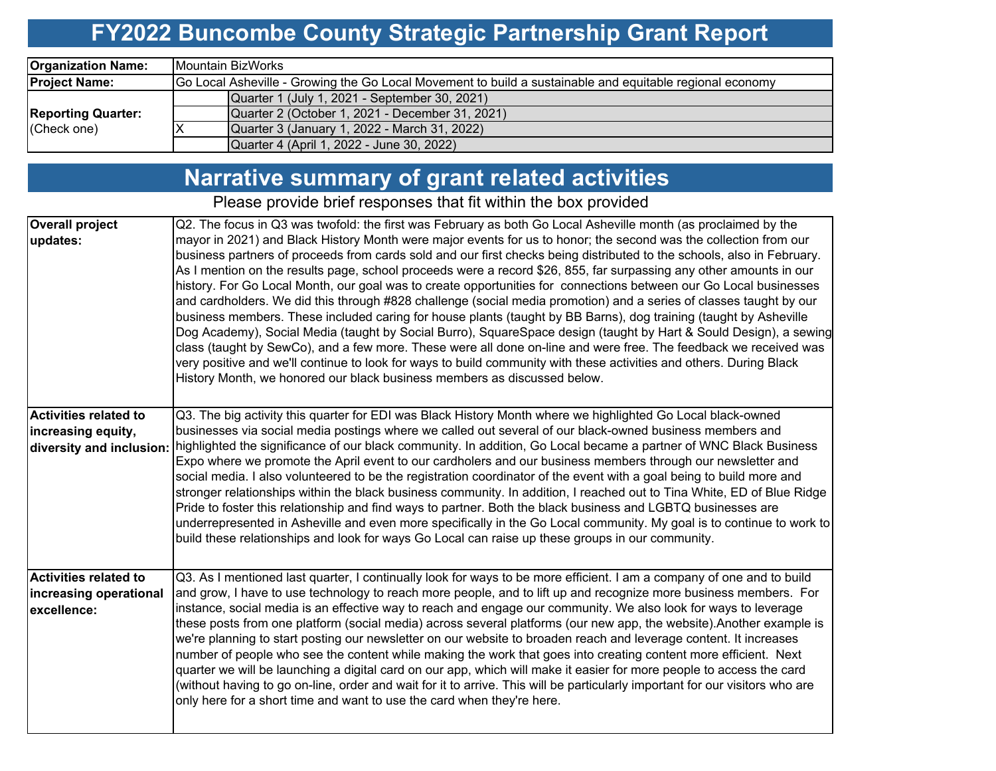### **FY2022 Buncombe County Strategic Partnership Grant Report**

| <b>Organization Name:</b> | <b>IMountain BizWorks</b>                                                                                |
|---------------------------|----------------------------------------------------------------------------------------------------------|
| <b>Project Name:</b>      | Go Local Asheville - Growing the Go Local Movement to build a sustainable and equitable regional economy |
|                           | Quarter 1 (July 1, 2021 - September 30, 2021)                                                            |
| <b>Reporting Quarter:</b> | Quarter 2 (October 1, 2021 - December 31, 2021)                                                          |
| (Check one)               | Quarter 3 (January 1, 2022 - March 31, 2022)                                                             |
|                           | Quarter 4 (April 1, 2022 - June 30, 2022)                                                                |

### **Narrative summary of grant related activities**

Please provide brief responses that fit within the box provided

| <b>Overall project</b>       | Q2. The focus in Q3 was twofold: the first was February as both Go Local Asheville month (as proclaimed by the               |
|------------------------------|------------------------------------------------------------------------------------------------------------------------------|
| updates:                     | mayor in 2021) and Black History Month were major events for us to honor; the second was the collection from our             |
|                              | business partners of proceeds from cards sold and our first checks being distributed to the schools, also in February.       |
|                              | As I mention on the results page, school proceeds were a record \$26, 855, far surpassing any other amounts in our           |
|                              | history. For Go Local Month, our goal was to create opportunities for connections between our Go Local businesses            |
|                              | and cardholders. We did this through #828 challenge (social media promotion) and a series of classes taught by our           |
|                              | business members. These included caring for house plants (taught by BB Barns), dog training (taught by Asheville             |
|                              |                                                                                                                              |
|                              | Dog Academy), Social Media (taught by Social Burro), SquareSpace design (taught by Hart & Sould Design), a sewing            |
|                              | class (taught by SewCo), and a few more. These were all done on-line and were free. The feedback we received was             |
|                              | very positive and we'll continue to look for ways to build community with these activities and others. During Black          |
|                              | History Month, we honored our black business members as discussed below.                                                     |
|                              |                                                                                                                              |
| <b>Activities related to</b> | Q3. The big activity this quarter for EDI was Black History Month where we highlighted Go Local black-owned                  |
| increasing equity,           | businesses via social media postings where we called out several of our black-owned business members and                     |
| diversity and inclusion:     | highlighted the significance of our black community. In addition, Go Local became a partner of WNC Black Business            |
|                              | Expo where we promote the April event to our cardholers and our business members through our newsletter and                  |
|                              | social media. I also volunteered to be the registration coordinator of the event with a goal being to build more and         |
|                              |                                                                                                                              |
|                              | stronger relationships within the black business community. In addition, I reached out to Tina White, ED of Blue Ridge       |
|                              | Pride to foster this relationship and find ways to partner. Both the black business and LGBTQ businesses are                 |
|                              | underrepresented in Asheville and even more specifically in the Go Local community. My goal is to continue to work to        |
|                              | build these relationships and look for ways Go Local can raise up these groups in our community.                             |
|                              |                                                                                                                              |
| <b>Activities related to</b> | Q3. As I mentioned last quarter, I continually look for ways to be more efficient. I am a company of one and to build        |
| increasing operational       | and grow, I have to use technology to reach more people, and to lift up and recognize more business members. For             |
| excellence:                  | instance, social media is an effective way to reach and engage our community. We also look for ways to leverage              |
|                              | these posts from one platform (social media) across several platforms (our new app, the website).Another example is          |
|                              | we're planning to start posting our newsletter on our website to broaden reach and leverage content. It increases            |
|                              | number of people who see the content while making the work that goes into creating content more efficient. Next              |
|                              | quarter we will be launching a digital card on our app, which will make it easier for more people to access the card         |
|                              |                                                                                                                              |
|                              | (without having to go on-line, order and wait for it to arrive. This will be particularly important for our visitors who are |
|                              | only here for a short time and want to use the card when they're here.                                                       |
|                              |                                                                                                                              |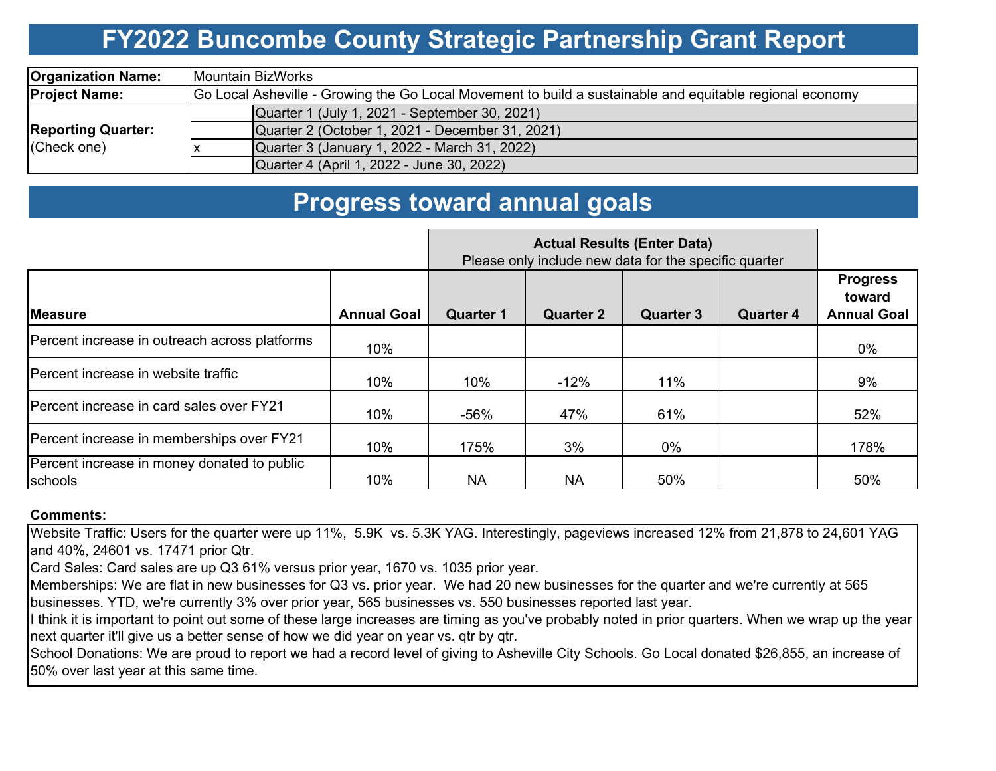# **FY2022 Buncombe County Strategic Partnership Grant Report**

| <b>Organization Name:</b>                | Mountain BizWorks                                                                                        |  |  |  |  |  |  |  |
|------------------------------------------|----------------------------------------------------------------------------------------------------------|--|--|--|--|--|--|--|
| <b>Project Name:</b>                     | Go Local Asheville - Growing the Go Local Movement to build a sustainable and equitable regional economy |  |  |  |  |  |  |  |
| <b>Reporting Quarter:</b><br>(Check one) | Quarter 1 (July 1, 2021 - September 30, 2021)                                                            |  |  |  |  |  |  |  |
|                                          | Quarter 2 (October 1, 2021 - December 31, 2021)                                                          |  |  |  |  |  |  |  |
|                                          | Quarter 3 (January 1, 2022 - March 31, 2022)                                                             |  |  |  |  |  |  |  |
|                                          | Quarter 4 (April 1, 2022 - June 30, 2022)                                                                |  |  |  |  |  |  |  |

### **Progress toward annual goals**

|                                                        | Please only include new data for the specific quarter |                  |                  |                  |                  |                                                 |
|--------------------------------------------------------|-------------------------------------------------------|------------------|------------------|------------------|------------------|-------------------------------------------------|
| <b>IMeasure</b>                                        | <b>Annual Goal</b>                                    | <b>Quarter 1</b> | <b>Quarter 2</b> | <b>Quarter 3</b> | <b>Quarter 4</b> | <b>Progress</b><br>toward<br><b>Annual Goal</b> |
| Percent increase in outreach across platforms          | 10%                                                   |                  |                  |                  |                  | $0\%$                                           |
| IPercent increase in website traffic                   | 10%                                                   | 10%              | $-12%$           | 11%              |                  | 9%                                              |
| Percent increase in card sales over FY21               | 10%                                                   | -56%             | 47%              | 61%              |                  | 52%                                             |
| Percent increase in memberships over FY21              | 10%                                                   | 175%             | 3%               | $0\%$            |                  | 178%                                            |
| Percent increase in money donated to public<br>schools | 10%                                                   | <b>NA</b>        | <b>NA</b>        | 50%              |                  | 50%                                             |

#### **Comments:**

Website Traffic: Users for the quarter were up 11%, 5.9K vs. 5.3K YAG. Interestingly, pageviews increased 12% from 21,878 to 24,601 YAG and 40%, 24601 vs. 17471 prior Qtr.

Card Sales: Card sales are up Q3 61% versus prior year, 1670 vs. 1035 prior year.

Memberships: We are flat in new businesses for Q3 vs. prior year. We had 20 new businesses for the quarter and we're currently at 565 businesses. YTD, we're currently 3% over prior year, 565 businesses vs. 550 businesses reported last year.

I think it is important to point out some of these large increases are timing as you've probably noted in prior quarters. When we wrap up the year next quarter it'll give us a better sense of how we did year on year vs. qtr by qtr.

School Donations: We are proud to report we had a record level of giving to Asheville City Schools. Go Local donated \$26,855, an increase of 50% over last year at this same time.